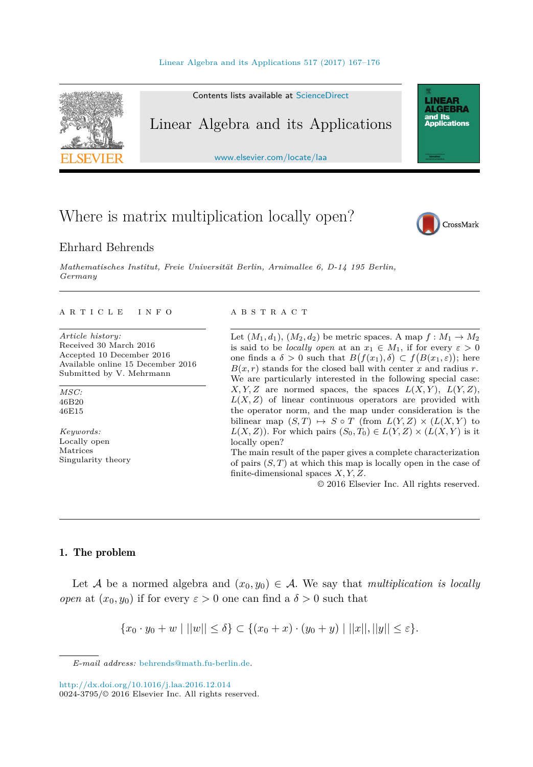

Contents lists available at [ScienceDirect](http://www.ScienceDirect.com/)

## Linear Algebra and its Applications

[www.elsevier.com/locate/laa](http://www.elsevier.com/locate/laa)

# Where is matrix multiplication locally open?

### Ehrhard Behrends

*Mathematisches Institut, Freie Universität Berlin, Arnimal lee 6, D-14 195 Berlin, Germany*

#### A R T I C L E I N F O A B S T R A C T

*Article history:* Received 30 March 2016 Accepted 10 December 2016 Available online 15 December 2016 Submitted by V. Mehrmann

*MSC:* 46B20 46E15

*Keywords:* Locally open Matrices Singularity theory

Let  $(M_1, d_1), (M_2, d_2)$  be metric spaces. A map  $f : M_1 \to M_2$ is said to be *locally open* at an  $x_1 \in M_1$ , if for every  $\varepsilon > 0$ one finds a  $\delta > 0$  such that  $B(f(x_1), \delta) \subset f(B(x_1, \varepsilon))$ ; here  $B(x, r)$  stands for the closed ball with center *x* and radius *r*. We are particularly interested in the following special case: *X,Y,Z* are normed spaces, the spaces  $L(X, Y)$ ,  $L(Y, Z)$ ,  $L(X, Z)$  of linear continuous operators are provided with the operator norm, and the map under consideration is the bilinear map  $(S, T) \mapsto S \circ T$  (from  $L(Y, Z) \times (L(X, Y))$  to  $L(X, Z)$ ). For which pairs  $(S_0, T_0) \in L(Y, Z) \times (L(X, Y))$  is it locally open?

The main result of the paper gives a complete characterization of pairs (*S, T*) at which this map is locally open in the case of finite-dimensional spaces *X, Y, Z*.

© 2016 Elsevier Inc. All rights reserved.

#### 1. The problem

Let A be a normed algebra and  $(x_0, y_0) \in A$ . We say that *multiplication* is *locally open* at  $(x_0, y_0)$  if for every  $\varepsilon > 0$  one can find a  $\delta > 0$  such that

$$
\{x_0 \cdot y_0 + w \mid ||w|| \le \delta\} \subset \{(x_0 + x) \cdot (y_0 + y) \mid ||x||, ||y|| \le \varepsilon\}.
$$



**LINEAR<br>ALGEBRA** and Its ana<br>Applications

*E-mail address:* [behrends@math.fu-berlin.de.](mailto:behrends@math.fu-berlin.de)

<http://dx.doi.org/10.1016/j.laa.2016.12.014> 0024-3795/© 2016 Elsevier Inc. All rights reserved.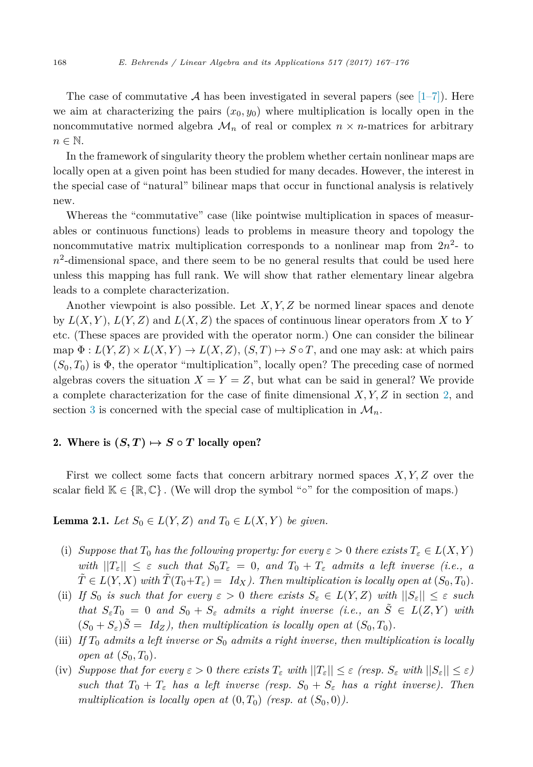<span id="page-1-0"></span>The case of commutative A has been investigated in several papers (see  $[1-7]$ ). Here we aim at characterizing the pairs  $(x_0, y_0)$  where multiplication is locally open in the noncommutative normed algebra  $\mathcal{M}_n$  of real or complex  $n \times n$ -matrices for arbitrary  $n \in \mathbb{N}$ .

In the framework of singularity theory the problem whether certain nonlinear maps are locally open at a given point has been studied for many decades. However, the interest in the special case of "natural" bilinear maps that occur in functional analysis is relatively new.

Whereas the "commutative" case (like pointwise multiplication in spaces of measurables or continuous functions) leads to problems in measure theory and topology the noncommutative matrix multiplication corresponds to a nonlinear map from  $2n^2$ - to  $n^2$ -dimensional space, and there seem to be no general results that could be used here unless this mapping has full rank. We will show that rather elementary linear algebra leads to a complete characterization.

Another viewpoint is also possible. Let *X, Y,Z* be normed linear spaces and denote by  $L(X, Y)$ ,  $L(Y, Z)$  and  $L(X, Z)$  the spaces of continuous linear operators from X to Y etc. (These spaces are provided with the operator norm.) One can consider the bilinear  $\text{map } \Phi: L(Y, Z) \times L(X, Y) \to L(X, Z), (S, T) \mapsto S \circ T$ , and one may ask: at which pairs  $(S_0, T_0)$  is  $\Phi$ , the operator "multiplication", locally open? The preceding case of normed algebras covers the situation  $X = Y = Z$ , but what can be said in general? We provide a complete characterization for the case of finite dimensional *X, Y,Z* in section 2, and section [3](#page-7-0) is concerned with the special case of multiplication in  $\mathcal{M}_n$ .

## 2. Where is  $(S, T) \mapsto S \circ T$  locally open?

First we collect some facts that concern arbitrary normed spaces *X, Y,Z* over the scalar field  $\mathbb{K} \in \{\mathbb{R}, \mathbb{C}\}$ . (We will drop the symbol "∘" for the composition of maps.)

**Lemma 2.1.** *Let*  $S_0 \in L(Y, Z)$  *and*  $T_0 \in L(X, Y)$  *be given.* 

- (i) *Suppose that*  $T_0$  *has the following property: for every*  $\varepsilon > 0$  *there exists*  $T_{\varepsilon} \in L(X, Y)$ *with*  $||T_{\varepsilon}|| \leq \varepsilon$  *such that*  $S_0T_{\varepsilon} = 0$ *, and*  $T_0 + T_{\varepsilon}$  *admits a left inverse (i.e., a*  $\hat{T} \in L(Y, X)$  with  $\hat{T}(T_0 + T_{\varepsilon}) = Id_X$ . Then multiplication is locally open at  $(S_0, T_0)$ .
- (ii) If  $S_0$  is such that for every  $\varepsilon > 0$  there exists  $S_{\varepsilon} \in L(Y,Z)$  with  $||S_{\varepsilon}|| \leq \varepsilon$  such *that*  $S_{\varepsilon}T_0 = 0$  *and*  $S_0 + S_{\varepsilon}$  *admits a right inverse* (*i.e., an*  $\tilde{S} \in L(Z, Y)$  *with*  $(S_0 + S_{\varepsilon})S = Id_Z$ , then multiplication is locally open at  $(S_0, T_0)$ .
- (iii) *If*  $T_0$  *admits a left inverse or*  $S_0$  *admits a right inverse*, *then multiplication is locally open at*  $(S_0, T_0)$ *.*
- (iv) Suppose that for every  $\varepsilon > 0$  there exists  $T_{\varepsilon}$  with  $||T_{\varepsilon}|| \leq \varepsilon$  (resp.  $S_{\varepsilon}$  with  $||S_{\varepsilon}|| \leq \varepsilon$ ) *such that*  $T_0 + T_\varepsilon$  *has a left inverse* (*resp.*  $S_0 + S_\varepsilon$  *has a right inverse*). Then *multiplication is locally open at*  $(0, T_0)$  *(resp. at*  $(S_0, 0)$ *).*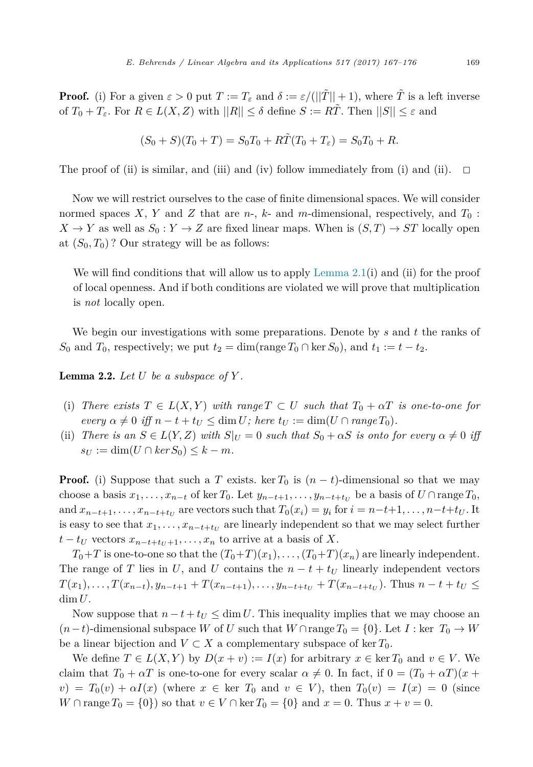<span id="page-2-0"></span>**Proof.** (i) For a given  $\varepsilon > 0$  put  $T := T_{\varepsilon}$  and  $\delta := \varepsilon/(||\tilde{T}|| + 1)$ , where  $\tilde{T}$  is a left inverse of  $T_0 + T_\varepsilon$ . For  $R \in L(X, Z)$  with  $||R|| \leq \delta$  define  $S := R\tilde{T}$ . Then  $||S|| \leq \varepsilon$  and

$$
(S_0 + S)(T_0 + T) = S_0 T_0 + R\tilde{T}(T_0 + T_\varepsilon) = S_0 T_0 + R.
$$

The proof of (ii) is similar, and (iii) and (iv) follow immediately from (i) and (ii).  $\Box$ 

Now we will restrict ourselves to the case of finite dimensional spaces. We will consider normed spaces *X*, *Y* and *Z* that are *n*-, *k*- and *m*-dimensional, respectively, and  $T_0$ :  $X \to Y$  as well as  $S_0: Y \to Z$  are fixed linear maps. When is  $(S,T) \to ST$  locally open at  $(S_0, T_0)$ ? Our strategy will be as follows:

We will find conditions that will allow us to apply Lemma  $2.1(i)$  and (ii) for the proof of local openness. And if both conditions are violated we will prove that multiplication is *not* locally open.

We begin our investigations with some preparations. Denote by *s* and *t* the ranks of *S*<sub>0</sub> and *T*<sub>0</sub>, respectively; we put  $t_2 = \dim(\text{range } T_0 \cap \text{ker } S_0)$ , and  $t_1 := t - t_2$ .

**Lemma 2.2.** Let  $U$  be a subspace of  $Y$ .

- (i) There exists  $T \in L(X, Y)$  with range  $T \subset U$  such that  $T_0 + \alpha T$  is one-to-one for  $\mathit{every} \alpha \neq 0 \text{ iff } n - t + t_U \leq \dim U; \text{ } \text{here } t_U := \dim(U \cap \text{range } T_0).$
- (ii) *There is*  $an S \in L(Y, Z)$  *with*  $S|_U = 0$  *such that*  $S_0 + \alpha S$  *is onto for every*  $\alpha \neq 0$  *iff*  $s_U := \dim(U \cap \ker S_0) \leq k - m$ .

**Proof.** (i) Suppose that such a *T* exists. ker  $T_0$  is  $(n - t)$ -dimensional so that we may choose a basis  $x_1, \ldots, x_{n-t}$  of ker  $T_0$ . Let  $y_{n-t+1}, \ldots, y_{n-t+t_U}$  be a basis of  $U \cap \text{range } T_0$ , and  $x_{n-t+1},...,x_{n-t+t_U}$  are vectors such that  $T_0(x_i) = y_i$  for  $i = n-t+1,...,n-t+t_U$ . It is easy to see that  $x_1, \ldots, x_{n-t+t_U}$  are linearly independent so that we may select further  $t - t$ *U* vectors  $x_{n-t+t}$ <sub>*U*+1</sub>*,*  $\ldots$ *,*  $x_n$  to arrive at a basis of *X*.

 $T_0+T$  is one-to-one so that the  $(T_0+T)(x_1), \ldots, (T_0+T)(x_n)$  are linearly independent. The range of *T* lies in *U*, and *U* contains the  $n - t + t_U$  linearly independent vectors  $T(x_1),...,T(x_{n-t}),y_{n-t+1}+T(x_{n-t+1}),...,y_{n-t+t_U}+T(x_{n-t+t_U}).$  Thus  $n-t+t_U \leq$  $\dim U$ .

Now suppose that  $n - t + t_U \leq \dim U$ . This inequality implies that we may choose an  $(n-t)$ -dimensional subspace *W* of *U* such that  $W \cap \text{range } T_0 = \{0\}$ . Let  $I : \text{ker } T_0 \to W$ be a linear bijection and  $V \subset X$  a complementary subspace of ker  $T_0$ .

We define  $T \in L(X, Y)$  by  $D(x + v) := I(x)$  for arbitrary  $x \in \text{ker } T_0$  and  $v \in V$ . We claim that  $T_0 + \alpha T$  is one-to-one for every scalar  $\alpha \neq 0$ . In fact, if  $0 = (T_0 + \alpha T)(x +$  $v = T_0(v) + \alpha I(x)$  (where  $x \in \text{ker } T_0$  and  $v \in V$ ), then  $T_0(v) = I(x) = 0$  (since *W* ∩ range *T*<sub>0</sub> = {0}) so that *v* ∈ *V* ∩ ker *T*<sub>0</sub> = {0} and *x* = 0. Thus *x* + *v* = 0.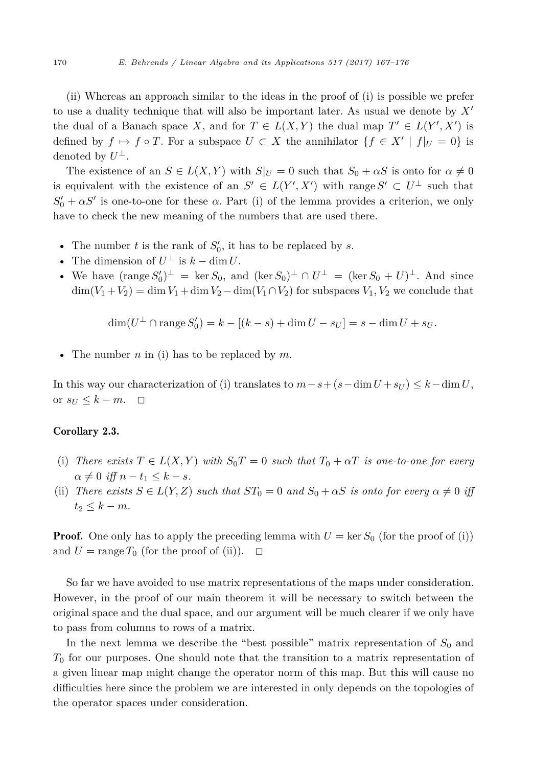<span id="page-3-0"></span>(ii) Whereas an approach similar to the ideas in the proof of (i) is possible we prefer to use a duality technique that will also be important later. As usual we denote by *X* the dual of a Banach space *X*, and for  $T \in L(X, Y)$  the dual map  $T' \in L(Y', X')$  is defined by  $f \mapsto f \circ T$ . For a subspace  $U \subset X$  the annihilator  $\{f \in X' \mid f|_U = 0\}$  is denoted by  $U^{\perp}$ .

The existence of an  $S \in L(X, Y)$  with  $S|_U = 0$  such that  $S_0 + \alpha S$  is onto for  $\alpha \neq 0$ is equivalent with the existence of an  $S' \in L(Y', X')$  with range  $S' \subset U^{\perp}$  such that  $S'_0 + \alpha S'$  is one-to-one for these  $\alpha$ . Part (i) of the lemma provides a criterion, we only have to check the new meaning of the numbers that are used there.

- The number  $t$  is the rank of  $S'_{0}$ , it has to be replaced by  $s$ .
- The dimension of  $U^{\perp}$  is  $k \dim U$ .
- We have  $(\text{range } S'_0)^{\perp} = \ker S_0$ , and  $(\ker S_0)^{\perp} \cap U^{\perp} = (\ker S_0 + U)^{\perp}$ . And since  $\dim(V_1 + V_2) = \dim V_1 + \dim V_2 - \dim(V_1 \cap V_2)$  for subspaces  $V_1, V_2$  we conclude that

$$
\dim(U^{\perp} \cap \text{range } S'_0) = k - [(k - s) + \dim U - s_U] = s - \dim U + s_U.
$$

• The number *n* in (i) has to be replaced by *m*.

In this way our characterization of (i) translates to  $m-s+(s-\dim U+s_U) \leq k-\dim U$ , or  $s_U \leq k - m$ .  $\Box$ 

#### Corollary 2.3.

- (i) There exists  $T \in L(X, Y)$  with  $S_0T = 0$  such that  $T_0 + \alpha T$  is one-to-one for every  $\alpha \neq 0$  *iff*  $n - t_1 \leq k - s$ .
- (ii) *There exists*  $S \in L(Y, Z)$  *such that*  $ST_0 = 0$  *and*  $S_0 + \alpha S$  *is onto for every*  $\alpha \neq 0$  *iff*  $t_2 \leq k - m$ .

**Proof.** One only has to apply the preceding lemma with  $U = \text{ker } S_0$  (for the proof of (i)) and  $U = \text{range } T_0$  (for the proof of (ii)).  $\Box$ 

So far we have avoided to use matrix representations of the maps under consideration. However, in the proof of our main theorem it will be necessary to switch between the original space and the dual space, and our argument will be much clearer if we only have to pass from columns to rows of a matrix.

In the next lemma we describe the "best possible" matrix representation of  $S_0$  and *T*<sup>0</sup> for our purposes. One should note that the transition to a matrix representation of a given linear map might change the operator norm of this map. But this will cause no difficulties here since the problem we are interested in only depends on the topologies of the operator spaces under consideration.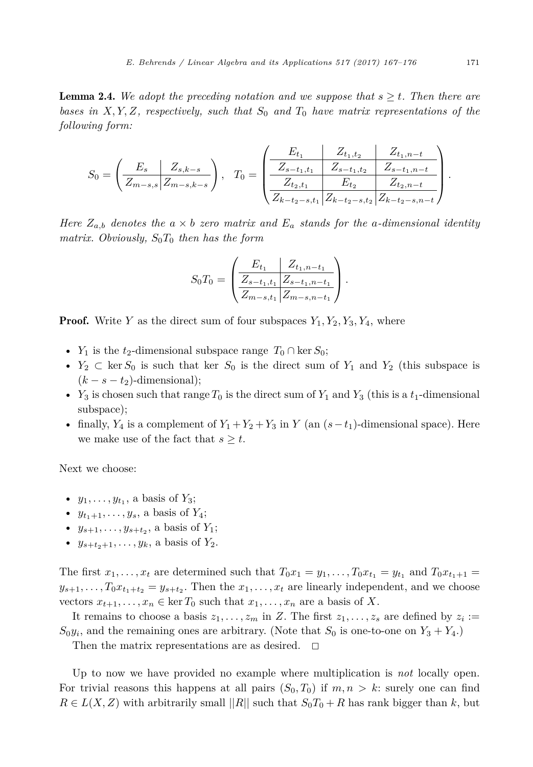<span id="page-4-0"></span>**Lemma 2.4.** We adopt the preceding notation and we suppose that  $s \geq t$ . Then there are *bases in X, Y,Z, respectively, such that S*<sup>0</sup> *and T*<sup>0</sup> *have matrix representations of the following form:*

$$
S_0 = \left(\frac{E_s}{Z_{m-s,s}} \left| \frac{Z_{s,k-s}}{Z_{m-s,k-s}} \right| \right), \quad T_0 = \left(\frac{\frac{E_{t_1}}{Z_{s-t_1,t_1}} \left| \frac{Z_{t_1,t_2}}{Z_{s-t_1,t_2}} \right| \left| \frac{Z_{t_1,m-t}}{Z_{t_2,t_1}} \right|}{\frac{Z_{t_2,t_1}}{Z_{k-t_2-s,t_1}} \left| \frac{Z_{t_1,m-t}}{Z_{k-t_2-s,t_2}} \right|} \right).
$$

*Here*  $Z_{a,b}$  *denotes the*  $a \times b$  *zero matrix* and  $E_a$  *stands for the a-dimensional identity matrix. Obviously,*  $S_0T_0$  *then has the form* 

$$
S_0 T_0 = \left( \frac{E_{t_1}}{Z_{s-t_1,t_1}} \frac{Z_{t_1,n-t_1}}{Z_{s-t_1,t_1}} \right) .
$$

**Proof.** Write *Y* as the direct sum of four subspaces  $Y_1, Y_2, Y_3, Y_4$ , where

- *Y*<sub>1</sub> is the *t*<sub>2</sub>-dimensional subspace range  $T_0 \cap \text{ker } S_0$ ;
- $Y_2 \subset \text{ker } S_0$  is such that ker  $S_0$  is the direct sum of  $Y_1$  and  $Y_2$  (this subspace is  $(k - s - t_2)$ -dimensional);
- *Y*<sub>3</sub> is chosen such that range  $T_0$  is the direct sum of  $Y_1$  and  $Y_3$  (this is a  $t_1$ -dimensional subspace);
- finally,  $Y_4$  is a complement of  $Y_1 + Y_2 + Y_3$  in  $Y$  (an  $(s-t_1)$ -dimensional space). Here we make use of the fact that  $s \geq t$ .

Next we choose:

- $y_1, \ldots, y_{t_1}$ , a basis of  $Y_3$ ;
- $y_{t_1+1}, \ldots, y_s$ , a basis of  $Y_4$ ;
- $y_{s+1}, \ldots, y_{s+t_2}$ , a basis of  $Y_1$ ;
- $y_{s+t_2+1}, \ldots, y_k$ , a basis of  $Y_2$ .

The first  $x_1, \ldots, x_t$  are determined such that  $T_0 x_1 = y_1, \ldots, T_0 x_{t_1} = y_{t_1}$  and  $T_0 x_{t_1+1} =$  $y_{s+1}, \ldots, T_0 x_{t_1+t_2} = y_{s+t_2}$ . Then the  $x_1, \ldots, x_t$  are linearly independent, and we choose vectors  $x_{t+1}, \ldots, x_n \in \ker T_0$  such that  $x_1, \ldots, x_n$  are a basis of X.

It remains to choose a basis  $z_1, \ldots, z_m$  in *Z*. The first  $z_1, \ldots, z_s$  are defined by  $z_i :=$  $S_0y_i$ , and the remaining ones are arbitrary. (Note that  $S_0$  is one-to-one on  $Y_3 + Y_4$ .)

Then the matrix representations are as desired.  $\Box$ 

Up to now we have provided no example where multiplication is *not* locally open. For trivial reasons this happens at all pairs  $(S_0, T_0)$  if  $m, n > k$ : surely one can find  $R \in L(X, Z)$  with arbitrarily small  $||R||$  such that  $S_0T_0 + R$  has rank bigger than *k*, but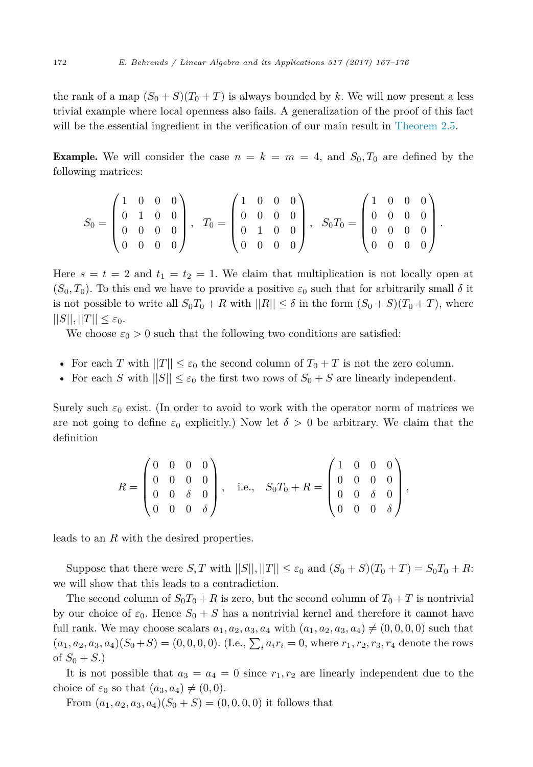the rank of a map  $(S_0 + S)(T_0 + T)$  is always bounded by k. We will now present a less trivial example where local openness also fails. A generalization of the proof of this fact will be the essential ingredient in the verification of our main result in [Theorem 2.5.](#page-6-0)

**Example.** We will consider the case  $n = k = m = 4$ , and  $S_0, T_0$  are defined by the following matrices:

$$
S_0 = \begin{pmatrix} 1 & 0 & 0 & 0 \\ 0 & 1 & 0 & 0 \\ 0 & 0 & 0 & 0 \\ 0 & 0 & 0 & 0 \end{pmatrix}, \quad T_0 = \begin{pmatrix} 1 & 0 & 0 & 0 \\ 0 & 0 & 0 & 0 \\ 0 & 1 & 0 & 0 \\ 0 & 0 & 0 & 0 \end{pmatrix}, \quad S_0 T_0 = \begin{pmatrix} 1 & 0 & 0 & 0 \\ 0 & 0 & 0 & 0 \\ 0 & 0 & 0 & 0 \\ 0 & 0 & 0 & 0 \end{pmatrix}.
$$

Here  $s = t = 2$  and  $t_1 = t_2 = 1$ . We claim that multiplication is not locally open at  $(S_0, T_0)$ . To this end we have to provide a positive  $\varepsilon_0$  such that for arbitrarily small  $\delta$  it is not possible to write all  $S_0T_0 + R$  with  $||R|| \leq \delta$  in the form  $(S_0 + S)(T_0 + T)$ , where  $||S||, ||T|| \leq \varepsilon_0.$ 

We choose  $\varepsilon_0 > 0$  such that the following two conditions are satisfied:

- For each *T* with  $||T|| \leq \varepsilon_0$  the second column of  $T_0 + T$  is not the zero column.
- For each *S* with  $||S|| \leq \varepsilon_0$  the first two rows of  $S_0 + S$  are linearly independent.

Surely such  $\varepsilon_0$  exist. (In order to avoid to work with the operator norm of matrices we are not going to define  $\varepsilon_0$  explicitly.) Now let  $\delta > 0$  be arbitrary. We claim that the definition

$$
R = \begin{pmatrix} 0 & 0 & 0 & 0 \\ 0 & 0 & 0 & 0 \\ 0 & 0 & \delta & 0 \\ 0 & 0 & 0 & \delta \end{pmatrix}, \quad \text{i.e.,} \quad S_0 T_0 + R = \begin{pmatrix} 1 & 0 & 0 & 0 \\ 0 & 0 & 0 & 0 \\ 0 & 0 & \delta & 0 \\ 0 & 0 & 0 & \delta \end{pmatrix},
$$

leads to an *R* with the desired properties.

Suppose that there were *S*, *T* with  $||S||, ||T|| \leq \varepsilon_0$  and  $(S_0 + S)(T_0 + T) = S_0T_0 + R$ : we will show that this leads to a contradiction.

The second column of  $S_0T_0 + R$  is zero, but the second column of  $T_0 + T$  is nontrivial by our choice of  $\varepsilon_0$ . Hence  $S_0 + S$  has a nontrivial kernel and therefore it cannot have full rank. We may choose scalars  $a_1, a_2, a_3, a_4$  with  $(a_1, a_2, a_3, a_4) \neq (0, 0, 0, 0)$  such that  $(a_1, a_2, a_3, a_4)(S_0 + S) = (0, 0, 0, 0).$  (I.e.,  $\sum_i a_i r_i = 0$ , where  $r_1, r_2, r_3, r_4$  denote the rows of  $S_0 + S$ .)

It is not possible that  $a_3 = a_4 = 0$  since  $r_1, r_2$  are linearly independent due to the choice of  $\varepsilon_0$  so that  $(a_3, a_4) \neq (0, 0)$ .

From  $(a_1, a_2, a_3, a_4)(S_0 + S) = (0, 0, 0, 0)$  it follows that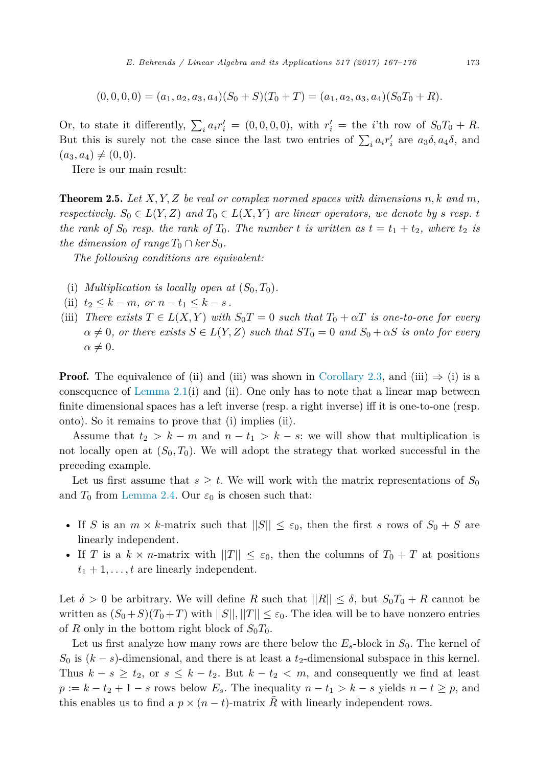<span id="page-6-0"></span>
$$
(0,0,0,0) = (a_1, a_2, a_3, a_4)(S_0 + S)(T_0 + T) = (a_1, a_2, a_3, a_4)(S_0T_0 + R).
$$

Or, to state it differently,  $\sum_i a_i r'_i = (0, 0, 0, 0)$ , with  $r'_i =$  the *i*'th row of  $S_0 T_0 + R$ . But this is surely not the case since the last two entries of  $\sum_i a_i r'_i$  are  $a_3 \delta, a_4 \delta$ , and  $(a_3, a_4) \neq (0, 0).$ 

Here is our main result:

Theorem 2.5. *Let X, Y,Z be real or complex normed spaces with dimensions n, k and m, respectively.*  $S_0 \in L(Y, Z)$  *and*  $T_0 \in L(X, Y)$  *are linear operators, we denote by s resp. <i>t* the rank of  $S_0$  resp. the rank of  $T_0$ . The number t is written as  $t = t_1 + t_2$ , where  $t_2$  is *the dimension of range*  $T_0 \cap \text{ker } S_0$ .

*The following conditions are equivalent:*

- (i) *Multiplication is locally open at*  $(S_0, T_0)$ *.*
- (ii)  $t_2 \leq k m$ , or  $n t_1 \leq k s$ .
- (iii) *There exists*  $T \in L(X, Y)$  *with*  $S_0T = 0$  *such that*  $T_0 + \alpha T$  *is one-to-one for every*  $\alpha \neq 0$ , *or there exists*  $S \in L(Y, Z)$  *such that*  $ST_0 = 0$  *and*  $S_0 + \alpha S$  *is onto for every*  $\alpha \neq 0$ .

**Proof.** The equivalence of (ii) and (iii) was shown in [Corollary 2.3,](#page-3-0) and (iii)  $\Rightarrow$  (i) is a consequence of Lemma  $2.1(i)$  and (ii). One only has to note that a linear map between finite dimensional spaces has a left inverse (resp. a right inverse) iff it is one-to-one (resp. onto). So it remains to prove that (i) implies (ii).

Assume that  $t_2 > k - m$  and  $n - t_1 > k - s$ : we will show that multiplication is not locally open at  $(S_0, T_0)$ . We will adopt the strategy that worked successful in the preceding example.

Let us first assume that  $s \geq t$ . We will work with the matrix representations of  $S_0$ and  $T_0$  from [Lemma 2.4.](#page-4-0) Our  $\varepsilon_0$  is chosen such that:

- If *S* is an  $m \times k$ -matrix such that  $||S|| \leq \varepsilon_0$ , then the first *s* rows of  $S_0 + S$  are linearly independent.
- If *T* is a  $k \times n$ -matrix with  $||T|| \leq \varepsilon_0$ , then the columns of  $T_0 + T$  at positions  $t_1 + 1, \ldots, t$  are linearly independent.

Let  $\delta > 0$  be arbitrary. We will define R such that  $||R|| \leq \delta$ , but  $S_0T_0 + R$  cannot be written as  $(S_0 + S)(T_0 + T)$  with  $||S||, ||T|| \leq \varepsilon_0$ . The idea will be to have nonzero entries of *R* only in the bottom right block of  $S_0T_0$ .

Let us first analyze how many rows are there below the  $E_s$ -block in  $S_0$ . The kernel of  $S_0$  is  $(k - s)$ -dimensional, and there is at least a  $t_2$ -dimensional subspace in this kernel. Thus  $k - s \geq t_2$ , or  $s \leq k - t_2$ . But  $k - t_2 < m$ , and consequently we find at least  $p := k - t_2 + 1 - s$  rows below  $E_s$ . The inequality  $n - t_1 > k - s$  yields  $n - t \geq p$ , and this enables us to find a  $p \times (n - t)$ -matrix R with linearly independent rows.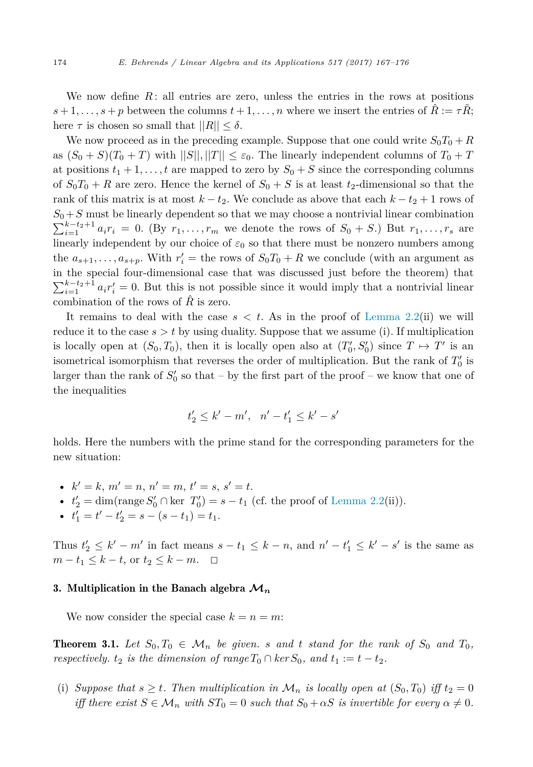<span id="page-7-0"></span>We now define  $R$ : all entries are zero, unless the entries in the rows at positions  $s+1,\ldots,s+p$  between the columns  $t+1,\ldots,n$  where we insert the entries of  $\tilde{R}:=\tau R$ ; here  $\tau$  is chosen so small that  $||R|| < \delta$ .

We now proceed as in the preceding example. Suppose that one could write  $S_0T_0 + R$ as  $(S_0 + S)(T_0 + T)$  with  $||S||, ||T|| \leq \varepsilon_0$ . The linearly independent columns of  $T_0 + T$ at positions  $t_1 + 1, \ldots, t$  are mapped to zero by  $S_0 + S$  since the corresponding columns of  $S_0T_0 + R$  are zero. Hence the kernel of  $S_0 + S$  is at least  $t_2$ -dimensional so that the rank of this matrix is at most  $k - t_2$ . We conclude as above that each  $k - t_2 + 1$  rows of  $S_0 + S$  must be linearly dependent so that we may choose a nontrivial linear combination  $\sum_{i=1}^{k-t_2+1} a_i r_i = 0$ . (By  $r_1, \ldots, r_m$  we denote the rows of  $S_0 + S$ .) But  $r_1, \ldots, r_s$  are linearly independent by our choice of  $\varepsilon_0$  so that there must be nonzero numbers among the  $a_{s+1}, \ldots, a_{s+p}$ . With  $r_i' =$  the rows of  $S_0T_0 + R$  we conclude (with an argument as in the special four-dimensional case that was discussed just before the theorem) that  $\sum_{i=1}^{k-t_2+1} a_i r'_i = 0$ . But this is not possible since it would imply that a nontrivial linear combination of the rows of  $\hat{R}$  is zero.

It remains to deal with the case  $s < t$ . As in the proof of [Lemma 2.2\(](#page-2-0)ii) we will reduce it to the case  $s > t$  by using duality. Suppose that we assume (i). If multiplication is locally open at  $(S_0, T_0)$ , then it is locally open also at  $(T'_0, S'_0)$  since  $T \mapsto T'$  is an isometrical isomorphism that reverses the order of multiplication. But the rank of  $T_0'$  is larger than the rank of  $S'_{0}$  so that – by the first part of the proof – we know that one of the inequalities

$$
t'_2 \le k' - m', \quad n' - t'_1 \le k' - s'
$$

holds. Here the numbers with the prime stand for the corresponding parameters for the new situation:

- $k' = k, m' = n, n' = m, t' = s, s' = t.$
- $t'_2 = \dim(\text{range } S'_0 \cap \text{ker } T'_0) = s t_1 \text{ (cf. the proof of Lemma 2.2(ii))}.$  $t'_2 = \dim(\text{range } S'_0 \cap \text{ker } T'_0) = s t_1 \text{ (cf. the proof of Lemma 2.2(ii))}.$  $t'_2 = \dim(\text{range } S'_0 \cap \text{ker } T'_0) = s t_1 \text{ (cf. the proof of Lemma 2.2(ii))}.$
- $t'_1 = t' t'_2 = s (s t_1) = t_1.$

Thus  $t'_2 \leq k' - m'$  in fact means  $s - t_1 \leq k - n$ , and  $n' - t'_1 \leq k' - s'$  is the same as *m* −  $t_1$  ≤  $k$  −  $t$ , or  $t_2$  ≤  $k$  −  $m$ .  $\Box$ 

#### 3. Multiplication in the Banach algebra **M***<sup>n</sup>*

We now consider the special case  $k = n = m$ :

**Theorem 3.1.** Let  $S_0, T_0 \in \mathcal{M}_n$  be given. *s* and t stand for the rank of  $S_0$  and  $T_0$ , *respectively.*  $t_2$  *is the dimension of range*  $T_0 \cap \ker S_0$ *, and*  $t_1 := t - t_2$ *.* 

(i) *Suppose that*  $s \geq t$ *. Then multiplication in*  $\mathcal{M}_n$  *is locally open at*  $(S_0, T_0)$  *iff*  $t_2 = 0$ *iff there exist*  $S \in \mathcal{M}_n$  *with*  $ST_0 = 0$  *such that*  $S_0 + \alpha S$  *is invertible for every*  $\alpha \neq 0$ *.*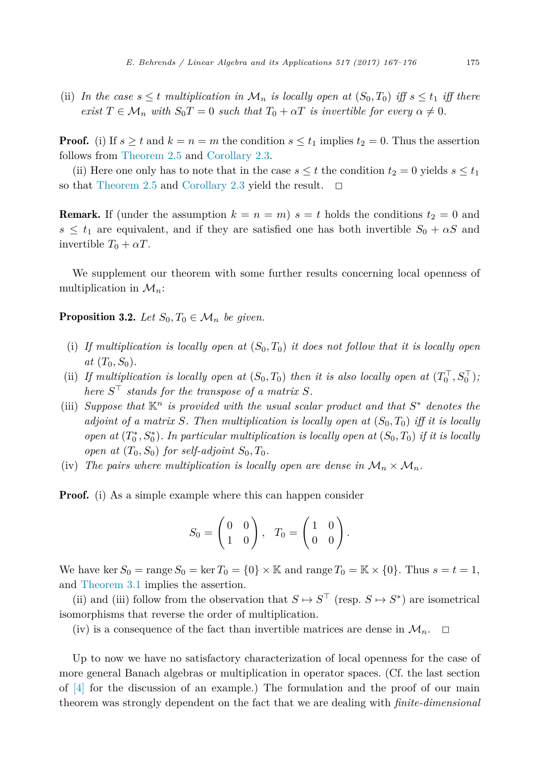(ii) In the case  $s \leq t$  multiplication in  $\mathcal{M}_n$  is locally open at  $(S_0, T_0)$  iff  $s \leq t_1$  iff there *exist*  $T \in \mathcal{M}_n$  *with*  $S_0T = 0$  *such that*  $T_0 + \alpha T$  *is invertible for every*  $\alpha \neq 0$ *.* 

**Proof.** (i) If  $s \geq t$  and  $k = n = m$  the condition  $s \leq t_1$  implies  $t_2 = 0$ . Thus the assertion follows from [Theorem 2.5](#page-6-0) and [Corollary 2.3.](#page-3-0)

(ii) Here one only has to note that in the case  $s \leq t$  the condition  $t_2 = 0$  yields  $s \leq t_1$ so that [Theorem 2.5](#page-6-0) and [Corollary 2.3](#page-3-0) yield the result.  $\Box$ 

**Remark.** If (under the assumption  $k = n = m$ )  $s = t$  holds the conditions  $t_2 = 0$  and  $s \leq t_1$  are equivalent, and if they are satisfied one has both invertible  $S_0 + \alpha S$  and invertible  $T_0 + \alpha T$ .

We supplement our theorem with some further results concerning local openness of multiplication in M*n*:

**Proposition 3.2.** *Let*  $S_0, T_0 \in \mathcal{M}_n$  *be given.* 

- (i) If multiplication is locally open at  $(S_0, T_0)$  it does not follow that it is locally open  $at$   $(T_0, S_0)$ .
- (ii) If multiplication is locally open at  $(S_0,T_0)$  then it is also locally open at  $(T_0^+,S_0^+)$ ; *here*  $S<sup>T</sup>$  *stands for the transpose of a matrix*  $S$ *.*
- (iii) *Suppose that*  $\mathbb{K}^n$  *is provided with the usual scalar product and that*  $S^*$  *denotes the adjoint* of a matrix *S*. Then multiplication is locally open at  $(S_0, T_0)$  iff it is locally open at  $(T_0^*, S_0^*)$ . In particular multiplication is locally open at  $(S_0,T_0)$  if it is locally *open at*  $(T_0, S_0)$  *for self-adjoint*  $S_0, T_0$ *.*
- (iv) The pairs where multiplication is locally open are dense in  $\mathcal{M}_n \times \mathcal{M}_n$ .

**Proof.** (i) As a simple example where this can happen consider

$$
S_0 = \begin{pmatrix} 0 & 0 \\ 1 & 0 \end{pmatrix}, \quad T_0 = \begin{pmatrix} 1 & 0 \\ 0 & 0 \end{pmatrix}.
$$

We have ker  $S_0$  = range  $S_0$  = ker  $T_0$  = {0}  $\times$  K and range  $T_0$  = K  $\times$  {0}. Thus  $s = t = 1$ , and [Theorem 3.1](#page-7-0) implies the assertion.

(ii) and (iii) follow from the observation that  $S \mapsto S^{\top}$  (resp.  $S \mapsto S^*$ ) are isometrical isomorphisms that reverse the order of multiplication.

(iv) is a consequence of the fact than invertible matrices are dense in  $\mathcal{M}_n$ .  $\Box$ 

Up to now we have no satisfactory characterization of local openness for the case of more general Banach algebras or multiplication in operator spaces. (Cf. the last section of [\[4\]](#page-9-0) for the discussion of an example.) The formulation and the proof of our main theorem was strongly dependent on the fact that we are dealing with *finite-dimensional*